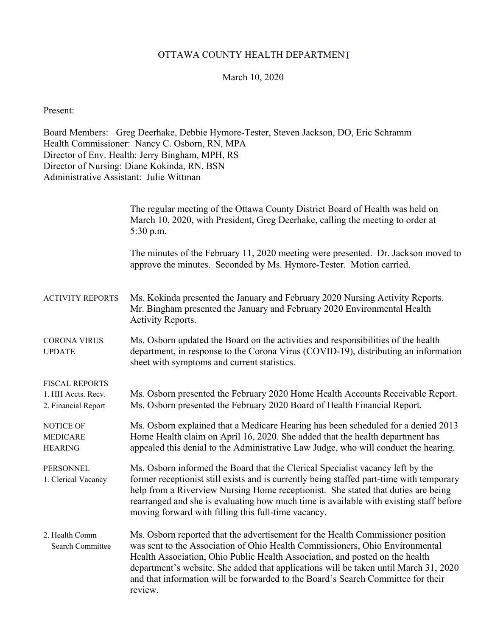## OTTAWA COUNTY HEALTH DEPARTMENT

## March 10, 2020

Present:

Board Members: Greg Deerhake, Debbie Hymore-Tester, Steven Jackson, DO, Eric Schramm Health Commissioner: Nancy C. Osborn, RN, MPA Director of Env. Health: Jerry Bingham, MPH, RS Director of Nursing: Diane Kokinda, RN, BSN Administrative Assistant: Julie Wittman

|                                                                    | The regular meeting of the Ottawa County District Board of Health was held on<br>March 10, 2020, with President, Greg Deerhake, calling the meeting to order at<br>5:30 p.m.                                                                                                                                                                                                                                                           |
|--------------------------------------------------------------------|----------------------------------------------------------------------------------------------------------------------------------------------------------------------------------------------------------------------------------------------------------------------------------------------------------------------------------------------------------------------------------------------------------------------------------------|
|                                                                    | The minutes of the February 11, 2020 meeting were presented. Dr. Jackson moved to<br>approve the minutes. Seconded by Ms. Hymore-Tester. Motion carried.                                                                                                                                                                                                                                                                               |
| <b>ACTIVITY REPORTS</b>                                            | Ms. Kokinda presented the January and February 2020 Nursing Activity Reports.<br>Mr. Bingham presented the January and February 2020 Environmental Health<br>Activity Reports.                                                                                                                                                                                                                                                         |
| <b>CORONA VIRUS</b><br><b>UPDATE</b>                               | Ms. Osborn updated the Board on the activities and responsibilities of the health<br>department, in response to the Corona Virus (COVID-19), distributing an information<br>sheet with symptoms and current statistics.                                                                                                                                                                                                                |
| <b>FISCAL REPORTS</b><br>1. HH Accts. Recv.<br>2. Financial Report | Ms. Osborn presented the February 2020 Home Health Accounts Receivable Report.<br>Ms. Osborn presented the February 2020 Board of Health Financial Report.                                                                                                                                                                                                                                                                             |
| NOTICE OF<br><b>MEDICARE</b><br><b>HEARING</b>                     | Ms. Osborn explained that a Medicare Hearing has been scheduled for a denied 2013<br>Home Health claim on April 16, 2020. She added that the health department has<br>appealed this denial to the Administrative Law Judge, who will conduct the hearing.                                                                                                                                                                              |
| <b>PERSONNEL</b><br>1. Clerical Vacancy                            | Ms. Osborn informed the Board that the Clerical Specialist vacancy left by the<br>former receptionist still exists and is currently being staffed part-time with temporary<br>help from a Riverview Nursing Home receptionist. She stated that duties are being<br>rearranged and she is evaluating how much time is available with existing staff before<br>moving forward with filling this full-time vacancy.                       |
| 2. Health Comm<br>Search Committee                                 | Ms. Osborn reported that the advertisement for the Health Commissioner position<br>was sent to the Association of Ohio Health Commissioners, Ohio Environmental<br>Health Association, Ohio Public Health Association, and posted on the health<br>department's website. She added that applications will be taken until March 31, 2020<br>and that information will be forwarded to the Board's Search Committee for their<br>review. |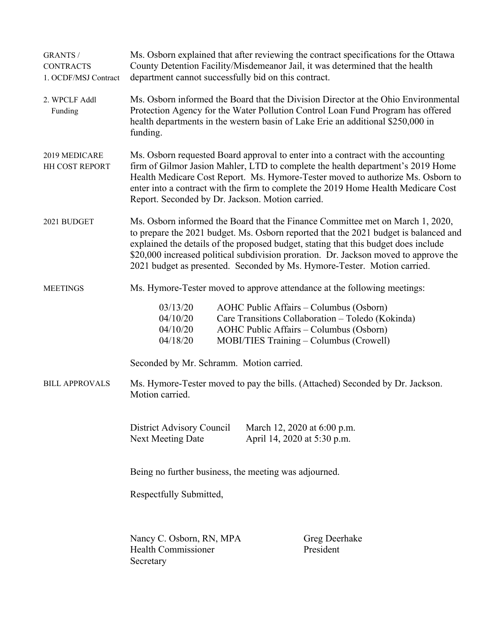| <b>GRANTS /</b><br><b>CONTRACTS</b><br>1. OCDF/MSJ Contract | Ms. Osborn explained that after reviewing the contract specifications for the Ottawa<br>County Detention Facility/Misdemeanor Jail, it was determined that the health<br>department cannot successfully bid on this contract.                                                                                                                                                                                                     |  |  |  |
|-------------------------------------------------------------|-----------------------------------------------------------------------------------------------------------------------------------------------------------------------------------------------------------------------------------------------------------------------------------------------------------------------------------------------------------------------------------------------------------------------------------|--|--|--|
| 2. WPCLF Addl<br>Funding                                    | Ms. Osborn informed the Board that the Division Director at the Ohio Environmental<br>Protection Agency for the Water Pollution Control Loan Fund Program has offered<br>health departments in the western basin of Lake Erie an additional \$250,000 in<br>funding.                                                                                                                                                              |  |  |  |
| 2019 MEDICARE<br>HH COST REPORT                             | Ms. Osborn requested Board approval to enter into a contract with the accounting<br>firm of Gilmor Jasion Mahler, LTD to complete the health department's 2019 Home<br>Health Medicare Cost Report. Ms. Hymore-Tester moved to authorize Ms. Osborn to<br>enter into a contract with the firm to complete the 2019 Home Health Medicare Cost<br>Report. Seconded by Dr. Jackson. Motion carried.                                  |  |  |  |
| 2021 BUDGET                                                 | Ms. Osborn informed the Board that the Finance Committee met on March 1, 2020,<br>to prepare the 2021 budget. Ms. Osborn reported that the 2021 budget is balanced and<br>explained the details of the proposed budget, stating that this budget does include<br>\$20,000 increased political subdivision proration. Dr. Jackson moved to approve the<br>2021 budget as presented. Seconded by Ms. Hymore-Tester. Motion carried. |  |  |  |
| <b>MEETINGS</b>                                             | Ms. Hymore-Tester moved to approve attendance at the following meetings:                                                                                                                                                                                                                                                                                                                                                          |  |  |  |
|                                                             | 03/13/20<br>AOHC Public Affairs – Columbus (Osborn)<br>Care Transitions Collaboration - Toledo (Kokinda)<br>04/10/20<br>04/10/20<br>AOHC Public Affairs – Columbus (Osborn)<br>04/18/20<br>MOBI/TIES Training - Columbus (Crowell)                                                                                                                                                                                                |  |  |  |
|                                                             | Seconded by Mr. Schramm. Motion carried.                                                                                                                                                                                                                                                                                                                                                                                          |  |  |  |
| <b>BILL APPROVALS</b>                                       | Ms. Hymore-Tester moved to pay the bills. (Attached) Seconded by Dr. Jackson.<br>Motion carried.                                                                                                                                                                                                                                                                                                                                  |  |  |  |
|                                                             | District Advisory Council<br>March 12, 2020 at 6:00 p.m.<br><b>Next Meeting Date</b><br>April 14, 2020 at 5:30 p.m.                                                                                                                                                                                                                                                                                                               |  |  |  |
|                                                             | Being no further business, the meeting was adjourned.                                                                                                                                                                                                                                                                                                                                                                             |  |  |  |
|                                                             | Respectfully Submitted,                                                                                                                                                                                                                                                                                                                                                                                                           |  |  |  |
|                                                             | Nancy C. Osborn, RN, MPA<br>Greg Deerhake<br><b>Health Commissioner</b><br>President<br>Secretary                                                                                                                                                                                                                                                                                                                                 |  |  |  |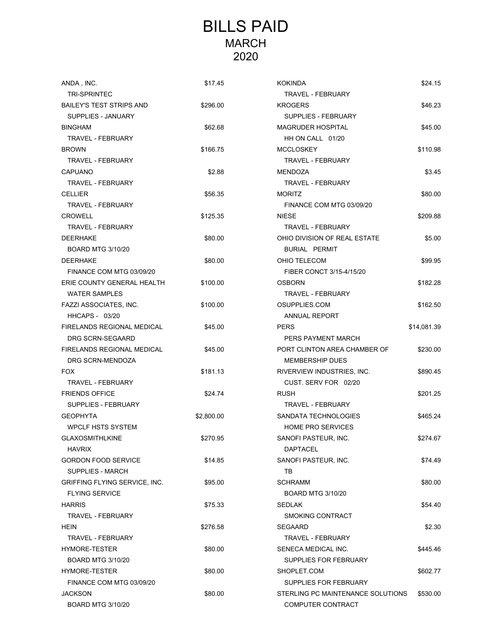## BILLS PAID MARCH 2020

| ANDA, INC.                      | \$17.45    | <b>KOKINDA</b>                    | \$24.15     |
|---------------------------------|------------|-----------------------------------|-------------|
| <b>TRI-SPRINTEC</b>             |            | TRAVEL - FEBRUARY                 |             |
| <b>BAILEY'S TEST STRIPS AND</b> | \$296.00   | <b>KROGERS</b>                    | \$46.23     |
| SUPPLIES - JANUARY              |            | SUPPLIES - FEBRUARY               |             |
| <b>BINGHAM</b>                  | \$62.68    | <b>MAGRUDER HOSPITAL</b>          | \$45.00     |
| TRAVEL - FEBRUARY               |            | HH ON CALL 01/20                  |             |
| <b>BROWN</b>                    | \$166.75   | <b>MCCLOSKEY</b>                  | \$110.98    |
| <b>TRAVEL - FEBRUARY</b>        |            | <b>TRAVEL - FEBRUARY</b>          |             |
| <b>CAPUANO</b>                  | \$2.88     | <b>MENDOZA</b>                    | \$3.45      |
| <b>TRAVEL - FEBRUARY</b>        |            | <b>TRAVEL - FEBRUARY</b>          |             |
| <b>CELLIER</b>                  | \$56.35    | <b>MORITZ</b>                     | \$80.00     |
| TRAVEL - FEBRUARY               |            | FINANCE COM MTG 03/09/20          |             |
| <b>CROWELL</b>                  | \$125.35   | <b>NIESE</b>                      | \$209.88    |
| <b>TRAVEL - FEBRUARY</b>        |            | <b>TRAVEL - FEBRUARY</b>          |             |
| <b>DEERHAKE</b>                 | \$80.00    | OHIO DIVISION OF REAL ESTATE      | \$5.00      |
| <b>BOARD MTG 3/10/20</b>        |            | BURIAL PERMIT                     |             |
| <b>DEERHAKE</b>                 | \$80.00    | OHIO TELECOM                      | \$99.95     |
| FINANCE COM MTG 03/09/20        |            | FIBER CONCT 3/15-4/15/20          |             |
| ERIE COUNTY GENERAL HEALTH      | \$100.00   | <b>OSBORN</b>                     | \$182.28    |
| <b>WATER SAMPLES</b>            |            | TRAVEL - FEBRUARY                 |             |
|                                 |            |                                   |             |
| FAZZI ASSOCIATES, INC.          | \$100.00   | OSUPPLIES.COM                     | \$162.50    |
| <b>HHCAPS - 03/20</b>           |            | ANNUAL REPORT                     |             |
| FIRELANDS REGIONAL MEDICAL      | \$45.00    | <b>PERS</b>                       | \$14,081.39 |
| DRG SCRN-SEGAARD                |            | PERS PAYMENT MARCH                |             |
| FIRELANDS REGIONAL MEDICAL      | \$45.00    | PORT CLINTON AREA CHAMBER OF      | \$230.00    |
| DRG SCRN-MENDOZA                |            | <b>MEMBERSHIP DUES</b>            |             |
| <b>FOX</b>                      | \$181.13   | RIVERVIEW INDUSTRIES, INC.        | \$890.45    |
| <b>TRAVEL - FEBRUARY</b>        |            | CUST. SERV FOR 02/20              |             |
| <b>FRIENDS OFFICE</b>           | \$24.74    | <b>RUSH</b>                       | \$201.25    |
| SUPPLIES - FEBRUARY             |            | <b>TRAVEL - FEBRUARY</b>          |             |
| <b>GEOPHYTA</b>                 | \$2,800.00 | SANDATA TECHNOLOGIES              | \$465.24    |
| <b>WPCLF HSTS SYSTEM</b>        |            | <b>HOME PRO SERVICES</b>          |             |
| <b>GLAXOSMITHLKINE</b>          | \$270.95   | SANOFI PASTEUR, INC.              | \$274.67    |
| <b>HAVRIX</b>                   |            | <b>DAPTACEL</b>                   |             |
| <b>GORDON FOOD SERVICE</b>      | \$14.85    | SANOFI PASTEUR, INC.              | \$74.49     |
| SUPPLIES - MARCH                |            | TВ                                |             |
| GRIFFING FLYING SERVICE, INC.   | \$95.00    | <b>SCHRAMM</b>                    | \$80.00     |
| <b>FLYING SERVICE</b>           |            | <b>BOARD MTG 3/10/20</b>          |             |
| <b>HARRIS</b>                   | \$75.33    | <b>SEDLAK</b>                     | \$54.40     |
| <b>TRAVEL - FEBRUARY</b>        |            | SMOKING CONTRACT                  |             |
| <b>HEIN</b>                     | \$276.58   | <b>SEGAARD</b>                    | \$2.30      |
| TRAVEL - FEBRUARY               |            | <b>TRAVEL - FEBRUARY</b>          |             |
| HYMORE-TESTER                   | \$80.00    | SENECA MEDICAL INC.               | \$445.46    |
| <b>BOARD MTG 3/10/20</b>        |            | SUPPLIES FOR FEBRUARY             |             |
| HYMORE-TESTER                   | \$80.00    | SHOPLET.COM                       | \$602.77    |
| FINANCE COM MTG 03/09/20        |            | SUPPLIES FOR FEBRUARY             |             |
| <b>JACKSON</b>                  | \$80.00    | STERLING PC MAINTENANCE SOLUTIONS | \$530.00    |
| <b>BOARD MTG 3/10/20</b>        |            | COMPUTER CONTRACT                 |             |